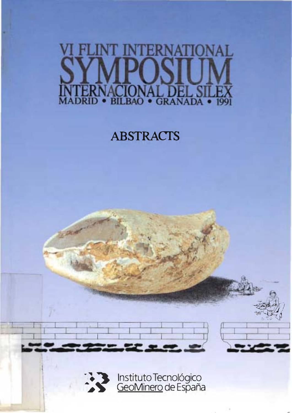# NERI IAT.

# **ABSTRACTS**

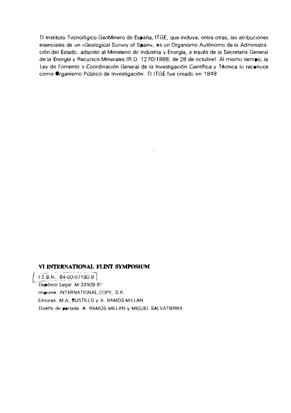El Instituto Tecnológico GeoMinero de España, ITGE, que incluye, entre otras, las atribuciones esenciales de un «Geological Survey of Spain», es un Organismo Autónomo de la Administración del Estado, adscrito al Ministerio de Industria y Energía, a través de la Secretaría General de la Energía y Recursos Minerales (R.D. 1270/1988, de 28 de octubre). Al mismo tiempo, la Ley de Fomento y Coordinación General de la Investigación Científica y Técnica lo reconoce como Organismo Público de Investigación. El ITGE fue creado en 1849.

#### VI INTERNATIONAL FLINT SYMPOSIUM

IS B.N., 84-00-07180-8 Depósito Legal: M-32909-91 Imprime, INTERNATIONAL COPY, S.A. Editores. M.A. BUSTILLO y A. RAMOS-MILLAN Diseño de pertada. A RAMOS-MILLAN y MIGUEL SALVATIERRA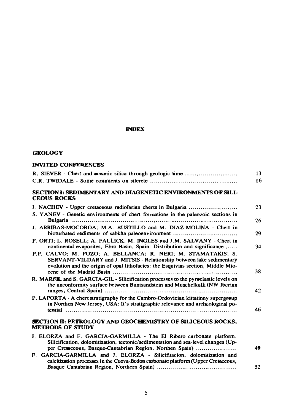#### **INDEX**

#### **GEOLOGY**

#### **INVITED CONFERENCES**

| R. SIEVER - Chert and eceanic silica through geologic time                                                                                                                                                                | 13 |
|---------------------------------------------------------------------------------------------------------------------------------------------------------------------------------------------------------------------------|----|
|                                                                                                                                                                                                                           | 16 |
| SECTION I: SEDIMENTARY AND DIAGENETIC ENVIRONMENTS OF SILI-<br><b>CEOUS ROCKS</b>                                                                                                                                         |    |
| I. NACHEV - Upper cretaceous radiolarian cherts in Bulgaria                                                                                                                                                               | 23 |
| S. YANEV - Genetic environments of chert formations in the paleozoic sections in                                                                                                                                          | 26 |
| J. ARRIBAS-MOCOROA; M.A. BUSTILLO and M. DIAZ-MOLINA - Chert in<br>bioturbated sediments of sabkha paleoenvironment                                                                                                       | 29 |
| F. ORTI; L. ROSELL; A. FALLICK, M. INGLES and J.M. SALVANY - Chert in<br>continental evaporites, Ebro Basin, Spain: Distribution and significance                                                                         | 34 |
| F.P. CALVO: M. POZO: A. BELLANCA: R. NERI: M. STAMATAKIS: S.<br>SERVANT-VILDARY and J. MITSIS - Relationship between lake sedimentary<br>evolution and the origin of opal Iithofacies: the Esquivias section, Middle Mio- | 38 |
| R. MARFL and S. GARCIA-GIL - Silicification processes to the pyroclastic levels on<br>the unconformity surface between Buntsandstein and Muschelkalk (NW Iberian                                                          | 42 |
| P. LAPORTA - A chert stratigraphy for the Cambro-Ordovician kittatinny supergroup<br>in Northen New Jersey, USA: It's stratigraphic relevance and archeological po-                                                       | 46 |
|                                                                                                                                                                                                                           |    |
| <b>SECTION II: PETROLOGY AND GEOCHEMISTRY OF SILICEOUS ROCKS.</b><br><b>METHODS OF STUDY</b>                                                                                                                              |    |
| J. ELORZA and F. GARCIA-GARMILLA - The El Ribero carbonate platform.<br>Silicification, dolomitization, tectonic/sedimentation and sea-level changes (Up-<br>per Cretaceous, Basque-Cantabrian Region, Northen Spain)     | 49 |
| F. GARCIA-GARMILLA and J. ELORZA - Silicifitacion, dolomitization and<br>calcitization processes in the Cueva-Bedon carbonate platform (Upper Creteceous,                                                                 |    |
|                                                                                                                                                                                                                           | 52 |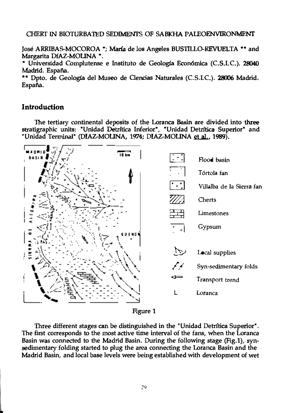#### CHERT IN BIOTIJRBATED SEDIMENTS OF SABKHA PALEOENVIRONMENf

José ARRIBAS-MOCOROA \*; María de los Angeles BUSTILLO-REVUELTA \*\* and Margarita DIAZ-MOLINA \*.

\* Universidad Complutense e Instituto de Geología Económica (C.S.I.C.). 28040 Madrid. España.

\*\* Dpto. de Geología del Museo de Ciencias Naturales (C.S.I.C.). 28006 Madrid. España.

#### Introduction

The tertiary continental deposits of the Loranca Basin are divided into three stratigraphic units: "Unidad Detrftica Inferior", "Unidad Detrltica Superior" and "Unidad Terminal" (DIAZ-MOLINA, 1974; DIAZ-MOLINA et al., 1989).



Three different stages can be distinguished in the "Unidad Detritica Superior". The first corresponds to the most active time interval of the fans, when the Loranca Basin was connected to fue Madrid Basin. During the following stage (Fig.1), synsedimentary folding started to plug the area connecting the Loranca Basin and the Madrid Basin, and local base levels were being established with development of wet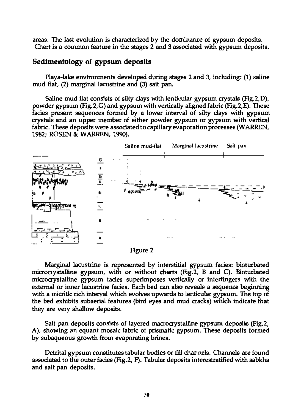areas. The last evolution is characterized by the dominance of gypsum deposits. Chert is a common feature in the stages 2 and 3 associated with gypsum deposits.

## Sedimentology of gypsum deposits

Piaya-Iake environments developed during stages 2 and 3, including: (1) saline mud flat, (2) marginal lacustrine and (3) sait pan.

Saline mud flat consists of silty clays with lenticular gypsum crystals (Fig.2,D), powder gypsum (Fig.2,G) and gypsum with vertically aligned fabric (Fig.2,E). These fades present sequences formed by a lower intervai of sllty clays with gypsum crystals and an upper member of either powder gypsum or gypsum with vertical fabric. These deposits were associated to capillary evaporation processes (WARREN, 1982; ROSEN &: WARREN, 1990).



Figure 2

Marginal iacustrine is represented by interstitial gypsum fades: bipturbated microcrystaiiine gypsum, with or without cherts (Fig.2, B and C). Bioturbated microcrystalline gypsum fades superimposes vertically or interfingers with the external or inner iacustrine fades. Each bed can also reveals a sequence beginning with a micritic rich intervai which evolves upwards to lenticuiar gypsum. The top of the bed exhibits subaeriai features (bird eyes and mud cracks) which indicate that they are very shallow deposits.

Salt pan deposits consists of layered macrocrystalline gypsum deposits (Fig.2, A), showing an equant mosaic fabric of prismatic gypsum. These deposits formed by subaqueous growth from evaporating brines.

associ ated to the outer fades (Fig.2, Fl. Tabular deposits interestratified with sabkha Detrital gypsum constitutes tabular bodies or fill channels. Channels are found and salt pan deposits.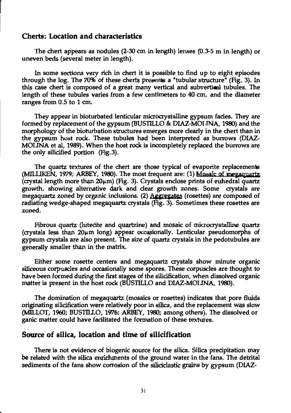#### Cherts: Location and characteristics

The chert appears as nodules  $(2-30 \text{ cm in length})$  lenses  $(0.3-5 \text{ m in length})$  or uneven beds (several meter in length).

In some sections very rich in chert it is possible to find up to eight episodes through the log. The 70% of these chens presents a 'tobular structure' (Fig. 3). In this case chert is composed of a great many vertical and subvertical tobules. The length of these tubules varies from a few centimeters to 40 cm, and the diameter ranges from 0.5 to 1 cm.

They appear in bioturbated lenticular microcrystalline gypsum facies. They are formed by replacement of the gypsum (BUSTILLO &: DIAZ-MOllNA, 1980) and the morphology of the biotorbation structures emerges more clearly in the chert than in the gypsum host rock. These tobules had been interpreted as burrows (DIAZ-MOllNA et al, 1989). When the host rock is incompletely replaced the burrows are the only silicified portion (Fig.3).

The quartz textures of the chert are those typical of evaporite replacements (MILLIKEN, 1979; ARBEY, 1980). The most frequent are: (1) Mosaic of megaquartz (crystal length more than  $20\mu m$ ) (Fig. 3). Crystals enclose prints of euhedral quartz growth, showing alternative dark and clear growth zones. Some crystals are megaquartz zoned by organic inclusions. (2) Awegates (rosettes) are composed of zoned. radiating wedge-shaped megaquartz crystals (Fig. 3). Sometimes these rosettes are

Fibrous quartz (lutecite and quartzine) and mosaic of microcrystalline quartz (crystals less than  $20\mu$ m long) appear occasionally. Lenticular pseudomorphs of gypsum crystals are also present. The size of quartz crystals in the pedotobules are generally smaller than in the matrix.

siliceous corpuscles and occasionally some spores. These corpuscles are thought to Either some rosette centers and megaquartz crystals show minute organic have been formed during the first stages of the silicification, when dissolved organic matter is present in the host rock (BUSTILLO and DIAZ-MOllNA, 1980).

The domination of megaquartz (mosaics or rosettes) indicates that pore fluids originating silicification were relatively poor in silica, and the replacement was slow (MILLOT, 1960; BUSTlLLO, 1976; ARBEY, 1980; among others). The dissolved or ganic matter could have facilitated the formation of these textures.

### Source of silica, location and time of silicification

There is not evidence of biogenic source for the silica. Silica precipitation may be related with the silica enrichments of the ground water in the fans. The detrital sediments of the fans show corrosion of the siliciclastic grains by gypsum (DIAZ-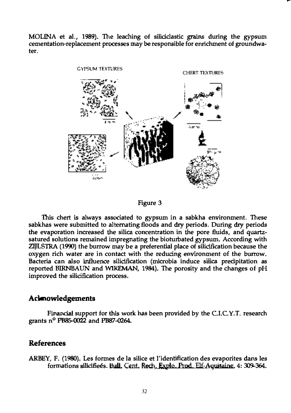MOLlNA et al., 1989). The leaching of silidclastic grains during the gypsum cementation-replacement processes may be responsible for enrichment of groundwater.



Figure 3

This chert is always associated to gypsum in a sabkha environment. These sabkhas were submitted to alternating floods and dry periods. During dry periods the evaporation increased the silica concentration in the pore fluids, and quartzsatured solutions remained impregnating the bioturbated gypsum. According with ZlJLSTRA (1990) the burrow may be a preferential place of silidfication because the oxygen rich water are in contact with the reducing environment of the burrow. Bacteria can also influence silidfication (microbia induce silica precipitation as reported BIRNBAUN and WIREMAN, 1984). The porosity and the changes of pH improved the silidfication process.

#### **Acknowledgements**

Financial support for this work has been provided by the C.I.C.Y.T. research grants  $n^{\circ}$  PB85-0022 and PB87-0264.

### References

ARBEY, F. (1980). Les formes de la silice et !'identification des evaporites dans les formations silicifiees. Bull. Cent. Rech. Explo. Prod. Elf-Aquitaine. 4: 309-364.